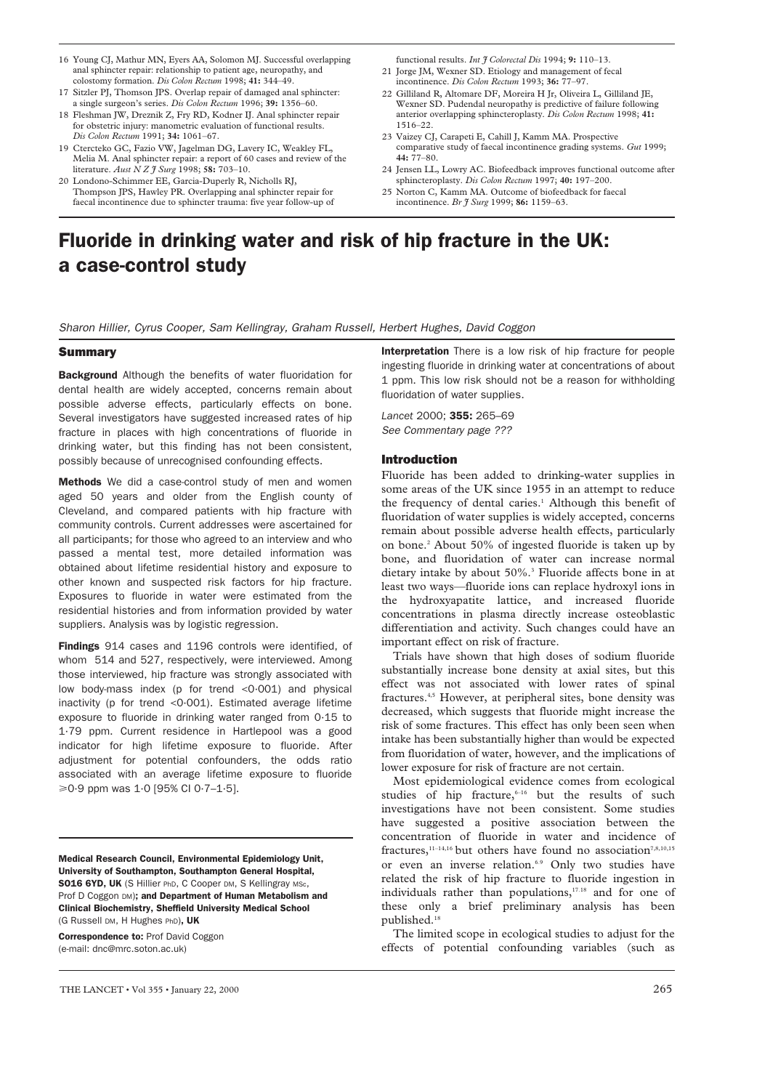- 16 Young CJ, Mathur MN, Eyers AA, Solomon MJ. Successful overlapping anal sphincter repair: relationship to patient age, neuropathy, and colostomy formation. *Dis Colon Rectum* 1998; **41:** 344–49.
- 17 Sitzler PJ, Thomson JPS. Overlap repair of damaged anal sphincter: a single surgeon's series. *Dis Colon Rectum* 1996; **39:** 1356–60.
- 18 Fleshman JW, Dreznik Z, Fry RD, Kodner IJ. Anal sphincter repair for obstetric injury: manometric evaluation of functional results. *Dis Colon Rectum* 1991; **34:** 1061–67.
- 19 Ctercteko GC, Fazio VW, Jagelman DG, Lavery IC, Weakley FL, Melia M. Anal sphincter repair: a report of 60 cases and review of the literature. *Aust N Z J Surg* 1998; **58:** 703–10.
- Londono-Schimmer EE, Garcia-Duperly R, Nicholls RJ, Thompson JPS, Hawley PR. Overlapping anal sphincter repair for faecal incontinence due to sphincter trauma: five year follow-up of

functional results. *Int J Colorectal Dis* 1994; **9:** 110–13.

- 21 Jorge JM, Wexner SD. Etiology and management of fecal incontinence. *Dis Colon Rectum* 1993; **36:** 77–97.
- 22 Gilliland R, Altomare DF, Moreira H Jr, Oliveira L, Gilliland JE, Wexner SD. Pudendal neuropathy is predictive of failure following anterior overlapping sphincteroplasty. *Dis Colon Rectum* 1998; **41:** 1516–22.
- 23 Vaizey CJ, Carapeti E, Cahill J, Kamm MA. Prospective comparative study of faecal incontinence grading systems. *Gut* 1999; **44:** 77–80.
- 24 Jensen LL, Lowry AC. Biofeedback improves functional outcome after sphincteroplasty. *Dis Colon Rectum* 1997; **40:** 197–200.
- 25 Norton C, Kamm MA. Outcome of biofeedback for faecal incontinence. *Br J Surg* 1999; **86:** 1159–63.

# Fluoride in drinking water and risk of hip fracture in the UK: a case-control study

*Sharon Hillier, Cyrus Cooper, Sam Kellingray, Graham Russell, Herbert Hughes, David Coggon*

# **Summary**

**Background** Although the benefits of water fluoridation for dental health are widely accepted, concerns remain about possible adverse effects, particularly effects on bone. Several investigators have suggested increased rates of hip fracture in places with high concentrations of fluoride in drinking water, but this finding has not been consistent, possibly because of unrecognised confounding effects.

Methods We did a case-control study of men and women aged 50 years and older from the English county of Cleveland, and compared patients with hip fracture with community controls. Current addresses were ascertained for all participants; for those who agreed to an interview and who passed a mental test, more detailed information was obtained about lifetime residential history and exposure to other known and suspected risk factors for hip fracture. Exposures to fluoride in water were estimated from the residential histories and from information provided by water suppliers. Analysis was by logistic regression.

Findings 914 cases and 1196 controls were identified, of whom 514 and 527, respectively, were interviewed. Among those interviewed, hip fracture was strongly associated with low body-mass index (p for trend <0·001) and physical inactivity (p for trend <0·001). Estimated average lifetime exposure to fluoride in drinking water ranged from 0·15 to 1·79 ppm. Current residence in Hartlepool was a good indicator for high lifetime exposure to fluoride. After adjustment for potential confounders, the odds ratio associated with an average lifetime exposure to fluoride  $\geq 0.9$  ppm was 1.0 [95% CI 0.7-1.5].

Medical Research Council, Environmental Epidemiology Unit, University of Southampton, Southampton General Hospital, SO16 6YD, UK (S Hillier PhD, C Cooper DM, S Kellingray MSc, Prof D Coggon DM); and Department of Human Metabolism and Clinical Biochemistry, Sheffield University Medical School (G Russell DM, H Hughes PhD), UK

Correspondence to: Prof David Coggon (e-mail: dnc@mrc.soton.ac.uk)

Interpretation There is a low risk of hip fracture for people ingesting fluoride in drinking water at concentrations of about 1 ppm. This low risk should not be a reason for withholding fluoridation of water supplies.

*Lancet* 2000; 355: 265–69 *See Commentary page ???*

#### Introduction

Fluoride has been added to drinking-water supplies in some areas of the UK since 1955 in an attempt to reduce the frequency of dental caries.<sup>1</sup> Although this benefit of fluoridation of water supplies is widely accepted, concerns remain about possible adverse health effects, particularly on bone.2 About 50% of ingested fluoride is taken up by bone, and fluoridation of water can increase normal dietary intake by about 50%.3 Fluoride affects bone in at least two ways—fluoride ions can replace hydroxyl ions in the hydroxyapatite lattice, and increased fluoride concentrations in plasma directly increase osteoblastic differentiation and activity. Such changes could have an important effect on risk of fracture.

Trials have shown that high doses of sodium fluoride substantially increase bone density at axial sites, but this effect was not associated with lower rates of spinal fractures.4,5 However, at peripheral sites, bone density was decreased, which suggests that fluoride might increase the risk of some fractures. This effect has only been seen when intake has been substantially higher than would be expected from fluoridation of water, however, and the implications of lower exposure for risk of fracture are not certain.

Most epidemiological evidence comes from ecological studies of hip fracture, $6-16$  but the results of such investigations have not been consistent. Some studies have suggested a positive association between the concentration of fluoride in water and incidence of fractures, $11-14,16$  but others have found no association<sup>7,8,10,15</sup> or even an inverse relation.<sup>6.9</sup> Only two studies have related the risk of hip fracture to fluoride ingestion in individuals rather than populations,<sup>17,18</sup> and for one of these only a brief preliminary analysis has been published.18

The limited scope in ecological studies to adjust for the effects of potential confounding variables (such as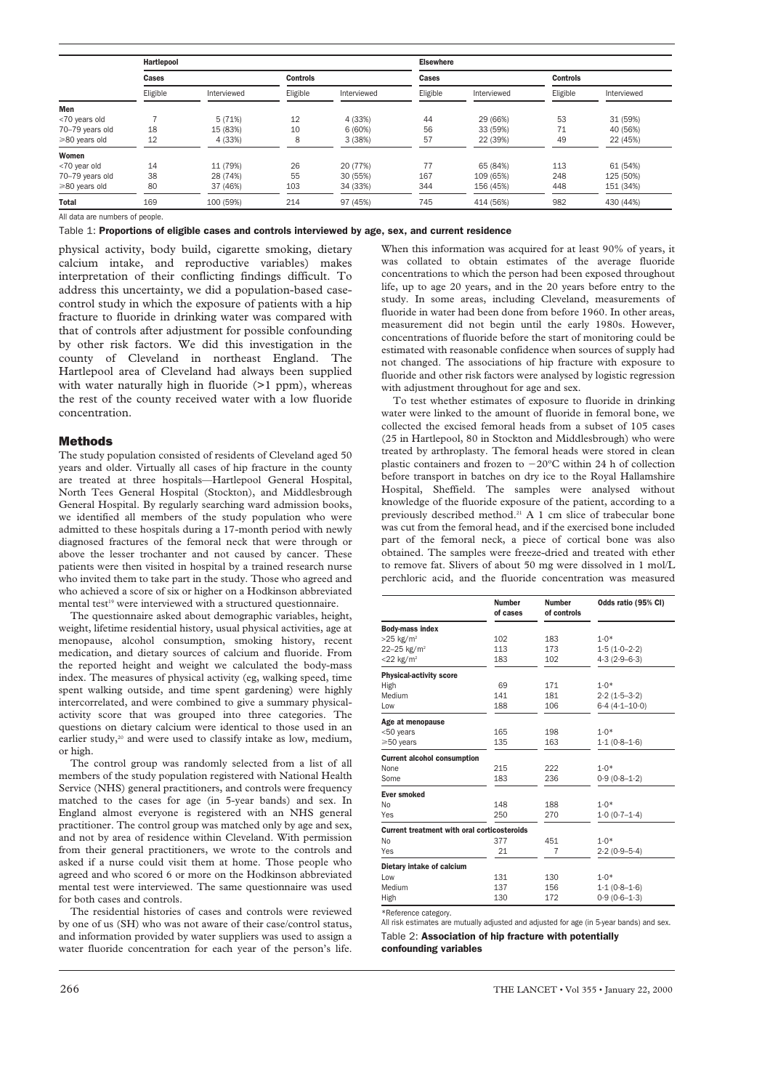|                     | <b>Hartlepool</b> |             |                 |             | <b>Elsewhere</b> |             |                 |             |
|---------------------|-------------------|-------------|-----------------|-------------|------------------|-------------|-----------------|-------------|
|                     | Cases             |             | <b>Controls</b> |             | Cases            |             | <b>Controls</b> |             |
|                     | Eligible          | Interviewed | Eligible        | Interviewed | Eligible         | Interviewed | Eligible        | Interviewed |
| Men                 |                   |             |                 |             |                  |             |                 |             |
| <70 years old       |                   | 5(71%)      | 12              | 4 (33%)     | 44               | 29 (66%)    | 53              | 31 (59%)    |
| 70-79 years old     | 18                | 15 (83%)    | 10              | 6(60%)      | 56               | 33 (59%)    | 71              | 40 (56%)    |
| ≥80 years old       | 12                | 4 (33%)     | 8               | 3(38%)      | 57               | 22 (39%)    | 49              | 22 (45%)    |
| Women               |                   |             |                 |             |                  |             |                 |             |
| <70 year old        | 14                | 11 (79%)    | 26              | 20 (77%)    | 77               | 65 (84%)    | 113             | 61 (54%)    |
| 70-79 years old     | 38                | 28 (74%)    | 55              | 30 (55%)    | 167              | 109 (65%)   | 248             | 125 (50%)   |
| $\geq 80$ years old | 80                | 37 (46%)    | 103             | 34 (33%)    | 344              | 156 (45%)   | 448             | 151 (34%)   |
| <b>Total</b>        | 169               | 100 (59%)   | 214             | 97 (45%)    | 745              | 414 (56%)   | 982             | 430 (44%)   |

All data are numbers of people.

Table 1: Proportions of eligible cases and controls interviewed by age, sex, and current residence

physical activity, body build, cigarette smoking, dietary calcium intake, and reproductive variables) makes interpretation of their conflicting findings difficult. To address this uncertainty, we did a population-based casecontrol study in which the exposure of patients with a hip fracture to fluoride in drinking water was compared with that of controls after adjustment for possible confounding by other risk factors. We did this investigation in the county of Cleveland in northeast England. The Hartlepool area of Cleveland had always been supplied with water naturally high in fluoride  $(>1$  ppm), whereas the rest of the county received water with a low fluoride concentration.

### **Methods**

The study population consisted of residents of Cleveland aged 50 years and older. Virtually all cases of hip fracture in the county are treated at three hospitals—Hartlepool General Hospital, North Tees General Hospital (Stockton), and Middlesbrough General Hospital. By regularly searching ward admission books, we identified all members of the study population who were admitted to these hospitals during a 17-month period with newly diagnosed fractures of the femoral neck that were through or above the lesser trochanter and not caused by cancer. These patients were then visited in hospital by a trained research nurse who invited them to take part in the study. Those who agreed and who achieved a score of six or higher on a Hodkinson abbreviated mental test<sup>19</sup> were interviewed with a structured questionnaire.

The questionnaire asked about demographic variables, height, weight, lifetime residential history, usual physical activities, age at menopause, alcohol consumption, smoking history, recent medication, and dietary sources of calcium and fluoride. From the reported height and weight we calculated the body-mass index. The measures of physical activity (eg, walking speed, time spent walking outside, and time spent gardening) were highly intercorrelated, and were combined to give a summary physicalactivity score that was grouped into three categories. The questions on dietary calcium were identical to those used in an earlier study,<sup>20</sup> and were used to classify intake as low, medium, or high.

The control group was randomly selected from a list of all members of the study population registered with National Health Service (NHS) general practitioners, and controls were frequency matched to the cases for age (in 5-year bands) and sex. In England almost everyone is registered with an NHS general practitioner. The control group was matched only by age and sex, and not by area of residence within Cleveland. With permission from their general practitioners, we wrote to the controls and asked if a nurse could visit them at home. Those people who agreed and who scored 6 or more on the Hodkinson abbreviated mental test were interviewed. The same questionnaire was used for both cases and controls.

The residential histories of cases and controls were reviewed by one of us (SH) who was not aware of their case/control status, and information provided by water suppliers was used to assign a water fluoride concentration for each year of the person's life.

When this information was acquired for at least 90% of years, it was collated to obtain estimates of the average fluoride concentrations to which the person had been exposed throughout life, up to age 20 years, and in the 20 years before entry to the study. In some areas, including Cleveland, measurements of fluoride in water had been done from before 1960. In other areas, measurement did not begin until the early 1980s. However, concentrations of fluoride before the start of monitoring could be estimated with reasonable confidence when sources of supply had not changed. The associations of hip fracture with exposure to fluoride and other risk factors were analysed by logistic regression with adjustment throughout for age and sex.

To test whether estimates of exposure to fluoride in drinking water were linked to the amount of fluoride in femoral bone, we collected the excised femoral heads from a subset of 105 cases (25 in Hartlepool, 80 in Stockton and Middlesbrough) who were treated by arthroplasty. The femoral heads were stored in clean plastic containers and frozen to  $-20^{\circ}$ C within 24 h of collection before transport in batches on dry ice to the Royal Hallamshire Hospital, Sheffield. The samples were analysed without knowledge of the fluoride exposure of the patient, according to a previously described method.<sup>21</sup> A 1 cm slice of trabecular bone was cut from the femoral head, and if the exercised bone included part of the femoral neck, a piece of cortical bone was also obtained. The samples were freeze-dried and treated with ether to remove fat. Slivers of about 50 mg were dissolved in 1 mol/L perchloric acid, and the fluoride concentration was measured

|                                                    | <b>Number</b><br>of cases | <b>Number</b><br>of controls | Odds ratio (95% CI) |
|----------------------------------------------------|---------------------------|------------------------------|---------------------|
| <b>Body-mass index</b>                             |                           |                              |                     |
| $>25$ kg/m <sup>2</sup>                            | 102                       | 183                          | $1.0*$              |
| 22-25 kg/m <sup>2</sup>                            | 113                       | 173                          | $1.5(1.0-2.2)$      |
| $<$ 22 kg/m <sup>2</sup>                           | 183                       | 102                          | $4.3(2.9-6.3)$      |
| Physical-activity score                            |                           |                              |                     |
| High                                               | 69                        | 171                          | $1.0*$              |
| Medium                                             | 141                       | 181                          | $2.2(1.5-3.2)$      |
| Low                                                | 188                       | 106                          | $6.4(4.1 - 10.0)$   |
| Age at menopause                                   |                           |                              |                     |
| <50 years                                          | 165                       | 198                          | $1.0*$              |
| ≥50 years                                          | 135                       | 163                          | $1.1(0.8 - 1.6)$    |
| <b>Current alcohol consumption</b>                 |                           |                              |                     |
| None                                               | 215                       | 222                          | $1.0*$              |
| Some                                               | 183                       | 236                          | $0.9(0.8-1.2)$      |
| Ever smoked                                        |                           |                              |                     |
| No                                                 | 148                       | 188                          | $1.0*$              |
| Yes                                                | 250                       | 270                          | $1.0(0.7-1.4)$      |
| <b>Current treatment with oral corticosteroids</b> |                           |                              |                     |
| No                                                 | 377                       | 451                          | $1.0*$              |
| Yes                                                | 21                        | $\overline{7}$               | $2.2(0.9-5.4)$      |
| Dietary intake of calcium                          |                           |                              |                     |
| Low                                                | 131                       | 130                          | $1.0*$              |
| Medium                                             | 137                       | 156                          | $1.1(0.8 - 1.6)$    |
|                                                    |                           |                              | $0.9(0.6-1.3)$      |

All risk estimates are mutually adjusted and adjusted for age (in 5-year bands) and sex. Table 2: Association of hip fracture with potentially

confounding variables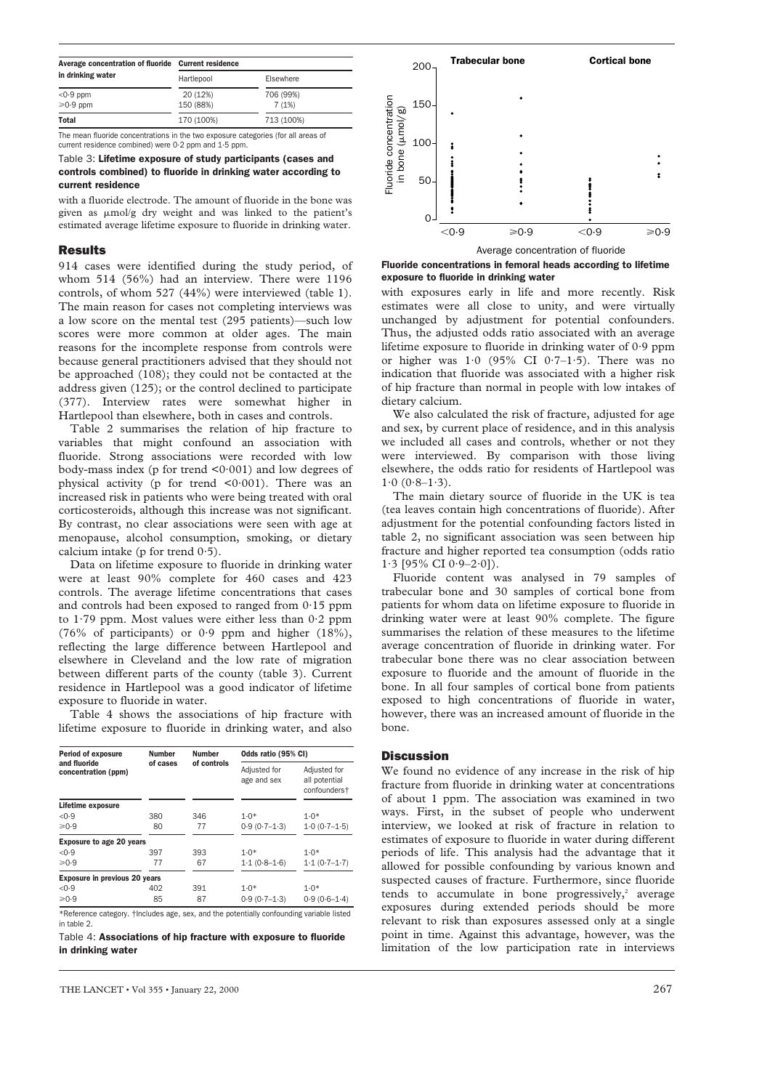| Average concentration of fluoride | <b>Current residence</b> |            | $200 -$              | <b>Trabecular bone</b> | <b>Cortical bone</b> |
|-----------------------------------|--------------------------|------------|----------------------|------------------------|----------------------|
| in drinking water                 | Hartlepool               | Elsewhere  |                      |                        |                      |
| $<$ 0.9 ppm                       | 20 (12%)                 | 706 (99%)  |                      |                        |                      |
| $\geq 0.9$ ppm                    | 150 (88%)                | 7(1%)      | $150 -$<br>rati<br>ଇ |                        |                      |
| <b>Total</b>                      | 170 (100%)               | 713 (100%) | ₽                    |                        |                      |

The mean fluoride concentrations in the two exposure categories (for all areas of current residence combined) were 0·2 ppm and 1·5 ppm.

#### Table 3: Lifetime exposure of study participants (cases and controls combined) to fluoride in drinking water according to current residence

with a fluoride electrode. The amount of fluoride in the bone was given as  $\mu$ mol/g dry weight and was linked to the patient's estimated average lifetime exposure to fluoride in drinking water.

# Results

914 cases were identified during the study period, of whom 514 (56%) had an interview. There were 1196 controls, of whom 527 (44%) were interviewed (table 1). The main reason for cases not completing interviews was a low score on the mental test (295 patients)—such low scores were more common at older ages. The main reasons for the incomplete response from controls were because general practitioners advised that they should not be approached (108); they could not be contacted at the address given (125); or the control declined to participate (377). Interview rates were somewhat higher in Hartlepool than elsewhere, both in cases and controls.

Table 2 summarises the relation of hip fracture to variables that might confound an association with fluoride. Strong associations were recorded with low body-mass index (p for trend  $\leq 0.001$ ) and low degrees of physical activity (p for trend  $0.001$ ). There was an increased risk in patients who were being treated with oral corticosteroids, although this increase was not significant. By contrast, no clear associations were seen with age at menopause, alcohol consumption, smoking, or dietary calcium intake (p for trend  $0.5$ ).

Data on lifetime exposure to fluoride in drinking water were at least 90% complete for 460 cases and 423 controls. The average lifetime concentrations that cases and controls had been exposed to ranged from 0·15 ppm to 1·79 ppm. Most values were either less than 0·2 ppm (76% of participants) or 0·9 ppm and higher (18%), reflecting the large difference between Hartlepool and elsewhere in Cleveland and the low rate of migration between different parts of the county (table 3). Current residence in Hartlepool was a good indicator of lifetime exposure to fluoride in water.

Table 4 shows the associations of hip fracture with lifetime exposure to fluoride in drinking water, and also

| <b>Period of exposure</b>                                                                                   | <b>Number</b> | <b>Number</b> | Odds ratio (95% CI)         |                                                           |  |
|-------------------------------------------------------------------------------------------------------------|---------------|---------------|-----------------------------|-----------------------------------------------------------|--|
| and fluoride<br>concentration (ppm)                                                                         | of cases      | of controls   | Adjusted for<br>age and sex | Adjusted for<br>all potential<br>confounders <sup>+</sup> |  |
| Lifetime exposure                                                                                           |               |               |                             |                                                           |  |
| < 0.9                                                                                                       | 380           | 346           | $1.0*$                      | $1.0*$                                                    |  |
| ≥0.9                                                                                                        | 80            | 77            | $0.9(0.7-1.3)$              | $1.0(0.7-1.5)$                                            |  |
| <b>Exposure to age 20 years</b>                                                                             |               |               |                             |                                                           |  |
| < 0.9                                                                                                       | 397           | 393           | $1.0*$                      | $1.0*$                                                    |  |
| $\geq 0.9$                                                                                                  | 77            | 67            | $1.1(0.8 - 1.6)$            | $1.1(0.7-1.7)$                                            |  |
| Exposure in previous 20 years                                                                               |               |               |                             |                                                           |  |
| < 0.9                                                                                                       | 402           | 391           | $1.0*$                      | $1.0*$                                                    |  |
| $\geq 0.9$                                                                                                  | 85            | 87            | $0.9(0.7-1.3)$              | $0.9(0.6 - 1.4)$                                          |  |
| ♦ Defenses of conception of the children open of the most about the probability of the expectation than all |               |               |                             |                                                           |  |

Reference category. †Includes age, sex, and the potentially confounding variable listed in table 2.

Table 4: Associations of hip fracture with exposure to fluoride in drinking water



Fluoride concentrations in femoral heads according to lifetime exposure to fluoride in drinking water

with exposures early in life and more recently. Risk estimates were all close to unity, and were virtually unchanged by adjustment for potential confounders. Thus, the adjusted odds ratio associated with an average lifetime exposure to fluoride in drinking water of 0·9 ppm or higher was  $1.0$  (95% CI 0.7–1.5). There was no indication that fluoride was associated with a higher risk of hip fracture than normal in people with low intakes of dietary calcium.

We also calculated the risk of fracture, adjusted for age and sex, by current place of residence, and in this analysis we included all cases and controls, whether or not they were interviewed. By comparison with those living elsewhere, the odds ratio for residents of Hartlepool was  $1.0$  ( $0.8-1.3$ ).

The main dietary source of fluoride in the UK is tea (tea leaves contain high concentrations of fluoride). After adjustment for the potential confounding factors listed in table 2, no significant association was seen between hip fracture and higher reported tea consumption (odds ratio  $1.3$  [95% CI 0.9-2.0]).

Fluoride content was analysed in 79 samples of trabecular bone and 30 samples of cortical bone from patients for whom data on lifetime exposure to fluoride in drinking water were at least 90% complete. The figure summarises the relation of these measures to the lifetime average concentration of fluoride in drinking water. For trabecular bone there was no clear association between exposure to fluoride and the amount of fluoride in the bone. In all four samples of cortical bone from patients exposed to high concentrations of fluoride in water, however, there was an increased amount of fluoride in the bone.

### Discussion

We found no evidence of any increase in the risk of hip fracture from fluoride in drinking water at concentrations of about 1 ppm. The association was examined in two ways. First, in the subset of people who underwent interview, we looked at risk of fracture in relation to estimates of exposure to fluoride in water during different periods of life. This analysis had the advantage that it allowed for possible confounding by various known and suspected causes of fracture. Furthermore, since fluoride tends to accumulate in bone progressively, $2$  average exposures during extended periods should be more relevant to risk than exposures assessed only at a single point in time. Against this advantage, however, was the limitation of the low participation rate in interviews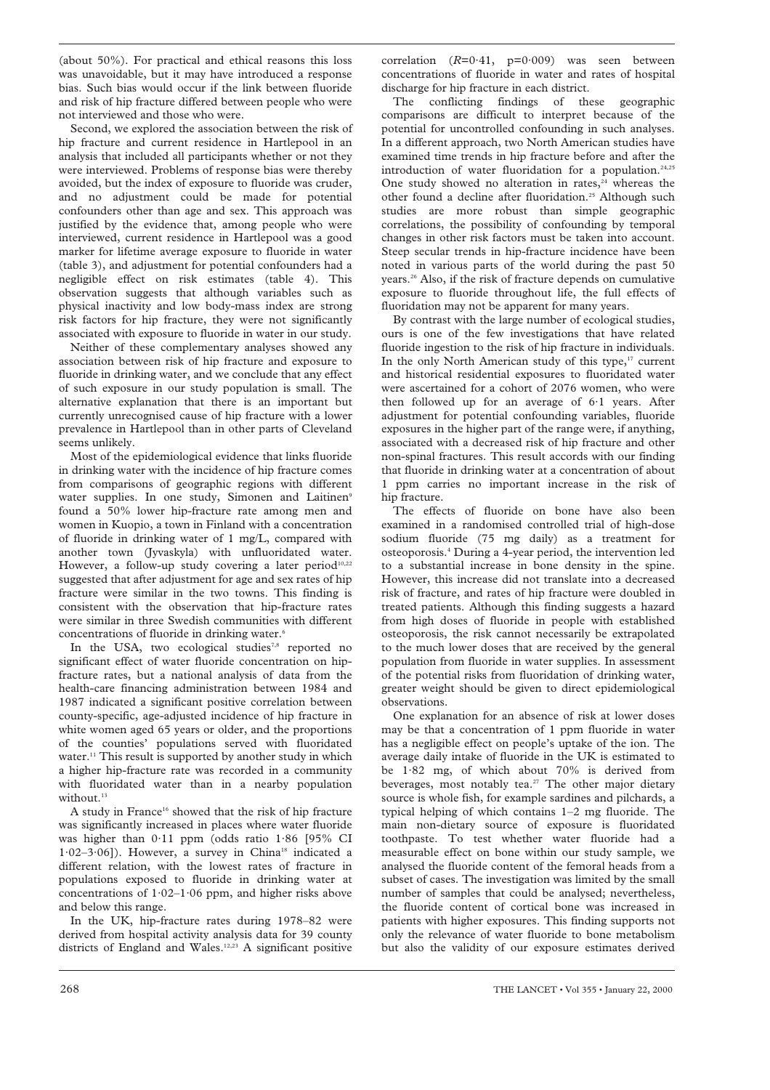(about 50%). For practical and ethical reasons this loss was unavoidable, but it may have introduced a response bias. Such bias would occur if the link between fluoride and risk of hip fracture differed between people who were not interviewed and those who were.

Second, we explored the association between the risk of hip fracture and current residence in Hartlepool in an analysis that included all participants whether or not they were interviewed. Problems of response bias were thereby avoided, but the index of exposure to fluoride was cruder, and no adjustment could be made for potential confounders other than age and sex. This approach was justified by the evidence that, among people who were interviewed, current residence in Hartlepool was a good marker for lifetime average exposure to fluoride in water (table 3), and adjustment for potential confounders had a negligible effect on risk estimates (table 4). This observation suggests that although variables such as physical inactivity and low body-mass index are strong risk factors for hip fracture, they were not significantly associated with exposure to fluoride in water in our study.

Neither of these complementary analyses showed any association between risk of hip fracture and exposure to fluoride in drinking water, and we conclude that any effect of such exposure in our study population is small. The alternative explanation that there is an important but currently unrecognised cause of hip fracture with a lower prevalence in Hartlepool than in other parts of Cleveland seems unlikely.

Most of the epidemiological evidence that links fluoride in drinking water with the incidence of hip fracture comes from comparisons of geographic regions with different water supplies. In one study, Simonen and Laitinen<sup>9</sup> found a 50% lower hip-fracture rate among men and women in Kuopio, a town in Finland with a concentration of fluoride in drinking water of 1 mg/L, compared with another town (Jyvaskyla) with unfluoridated water. However, a follow-up study covering a later period<sup>10,22</sup> suggested that after adjustment for age and sex rates of hip fracture were similar in the two towns. This finding is consistent with the observation that hip-fracture rates were similar in three Swedish communities with different concentrations of fluoride in drinking water.<sup>6</sup>

In the USA, two ecological studies<sup>7,8</sup> reported no significant effect of water fluoride concentration on hipfracture rates, but a national analysis of data from the health-care financing administration between 1984 and 1987 indicated a significant positive correlation between county-specific, age-adjusted incidence of hip fracture in white women aged 65 years or older, and the proportions of the counties' populations served with fluoridated water.<sup>11</sup> This result is supported by another study in which a higher hip-fracture rate was recorded in a community with fluoridated water than in a nearby population without.<sup>13</sup>

A study in France<sup>16</sup> showed that the risk of hip fracture was significantly increased in places where water fluoride was higher than 0·11 ppm (odds ratio 1·86 [95% CI  $1.02-3.06$ ]). However, a survey in China<sup>18</sup> indicated a different relation, with the lowest rates of fracture in populations exposed to fluoride in drinking water at concentrations of  $1.02-1.06$  ppm, and higher risks above and below this range.

In the UK, hip-fracture rates during 1978–82 were derived from hospital activity analysis data for 39 county districts of England and Wales.12,23 A significant positive correlation  $(R=0.41, p=0.009)$  was seen between concentrations of fluoride in water and rates of hospital discharge for hip fracture in each district.

The conflicting findings of these geographic comparisons are difficult to interpret because of the potential for uncontrolled confounding in such analyses. In a different approach, two North American studies have examined time trends in hip fracture before and after the introduction of water fluoridation for a population.<sup>24,25</sup> One study showed no alteration in rates,<sup>24</sup> whereas the other found a decline after fluoridation.<sup>25</sup> Although such studies are more robust than simple geographic correlations, the possibility of confounding by temporal changes in other risk factors must be taken into account. Steep secular trends in hip-fracture incidence have been noted in various parts of the world during the past 50 years.26 Also, if the risk of fracture depends on cumulative exposure to fluoride throughout life, the full effects of fluoridation may not be apparent for many years.

By contrast with the large number of ecological studies, ours is one of the few investigations that have related fluoride ingestion to the risk of hip fracture in individuals. In the only North American study of this type,<sup>17</sup> current and historical residential exposures to fluoridated water were ascertained for a cohort of 2076 women, who were then followed up for an average of 6·1 years. After adjustment for potential confounding variables, fluoride exposures in the higher part of the range were, if anything, associated with a decreased risk of hip fracture and other non-spinal fractures. This result accords with our finding that fluoride in drinking water at a concentration of about 1 ppm carries no important increase in the risk of hip fracture.

The effects of fluoride on bone have also been examined in a randomised controlled trial of high-dose sodium fluoride (75 mg daily) as a treatment for osteoporosis.4 During a 4-year period, the intervention led to a substantial increase in bone density in the spine. However, this increase did not translate into a decreased risk of fracture, and rates of hip fracture were doubled in treated patients. Although this finding suggests a hazard from high doses of fluoride in people with established osteoporosis, the risk cannot necessarily be extrapolated to the much lower doses that are received by the general population from fluoride in water supplies. In assessment of the potential risks from fluoridation of drinking water, greater weight should be given to direct epidemiological observations.

One explanation for an absence of risk at lower doses may be that a concentration of 1 ppm fluoride in water has a negligible effect on people's uptake of the ion. The average daily intake of fluoride in the UK is estimated to be 1·82 mg, of which about 70% is derived from beverages, most notably tea.<sup>27</sup> The other major dietary source is whole fish, for example sardines and pilchards, a typical helping of which contains 1–2 mg fluoride. The main non-dietary source of exposure is fluoridated toothpaste. To test whether water fluoride had a measurable effect on bone within our study sample, we analysed the fluoride content of the femoral heads from a subset of cases. The investigation was limited by the small number of samples that could be analysed; nevertheless, the fluoride content of cortical bone was increased in patients with higher exposures. This finding supports not only the relevance of water fluoride to bone metabolism but also the validity of our exposure estimates derived